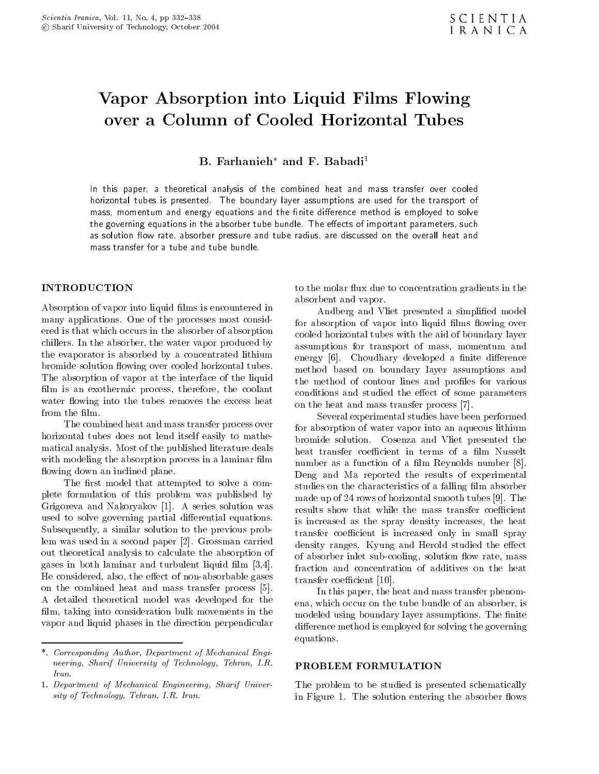# Vapor Absorption into Liquid Films Flowing over a Column of Cooled Horizontal Tubes

B. Farhanieh $^*$  and F. Babadi $^1$ 

In this paper, <sup>a</sup> theoretical analysis of the combined heat and mass transfer over cooled horizontal tubes is presented. The boundary layer assumptions are used for the transport of mass, momentum and energy equations and the nite dierence method is employed to solve the governing equations in the absorber tube bundle. The eects of important parameters, such as solution 
ow rate, absorber pressure and tube radius, are discussed on the overall heat and mass transfer for a tube and tube bundle.

# **INTRODUCTION**

Absorption of vapor into liquid films is encountered in many applications. One of the processes most considered is that which occurs in the absorber of absorption chillers. In the absorber, the water vapor produced by the evaporator is absorbed by a concentrated lithium bromide solution flowing over cooled horizontal tubes. The absorption of vapor at the interface of the liquid film is an exothermic process, therefore, the coolant water flowing into the tubes removes the excess heat from the film.

The combined heat and mass transfer process over horizontal tubes does not lend itself easily to mathematical analysis. Most of the published literature deals with modeling the absorption process in a laminar film flowing down an inclined plane.

The first model that attempted to solve a complete formulation of this problem was published by Grigoreva and Nakoryakov [1]. <sup>A</sup> series solution was used to solve governing partial differential equations. Subsequently, a similar solution to the previous problem was used in a second paper [2]. Grossman carried out theoretical analysis to calculate the absorption of gases in both laminar and turbulent liquid film  $[3,4]$ . He considered, also, the effect of non-absorbable gases on the combined heat and mass transfer process [5]. <sup>A</sup> detailed theoretical model was developed for the film, taking into consideration bulk movements in the vapor and liquid phases in the direction perpendicular

to the molar flux due to concentration gradients in the absorbent and vapor.

Andberg and Vliet presented a simplified model for absorption of vapor into liquid films flowing over cooled horizontal tubes with the aid of boundary layer assumptions for transport of mass, momentum and energy [6]. Choudhary developed a finite difference method based on boundary layer assumptions and the method of contour lines and profiles for various conditions and studied the effect of some parameters on the heat and mass transfer process [7].

Several experimental studies have been performed for absorption of water vapor into an aqueous lithium bromide solution. Cosenza and Vliet presented the heat transfer coefficient in terms of a film Nusselt number as a function of a film Reynolds number  $[8]$ . Deng and Ma reported the results of experimental studies on the characteristics of a falling film absorber made up of 24 rows of horizontal smooth tubes [9]. The results show that while the mass transfer coefficient is increased as the spray density increases, the heat transfer coefficient is increased only in small spray density ranges. Kyung and Herold studied the effect of absorber inlet sub-cooling, solution flow rate, mass fraction and concentration of additives on the heat transfer coefficient [10].

In this paper, the heat and mass transfer phenomena, which occur on the tube bundle of an absorber, is modeled using boundary layer assumptions. The finite difference method is employed for solving the governing equations.

#### PROBLEM FORMULATION

The problem to be studied is presented schematically in Figure 1. The solution entering the absorber flows

<sup>\*.</sup> Corresponding Author, Department of Mechanical Engineering, Sharif University of Technology, Tehran, I.R. Iran.

<sup>1.</sup> Department of Mechanical Engineering, Sharif University of Technology, Tehran, I.R. Iran.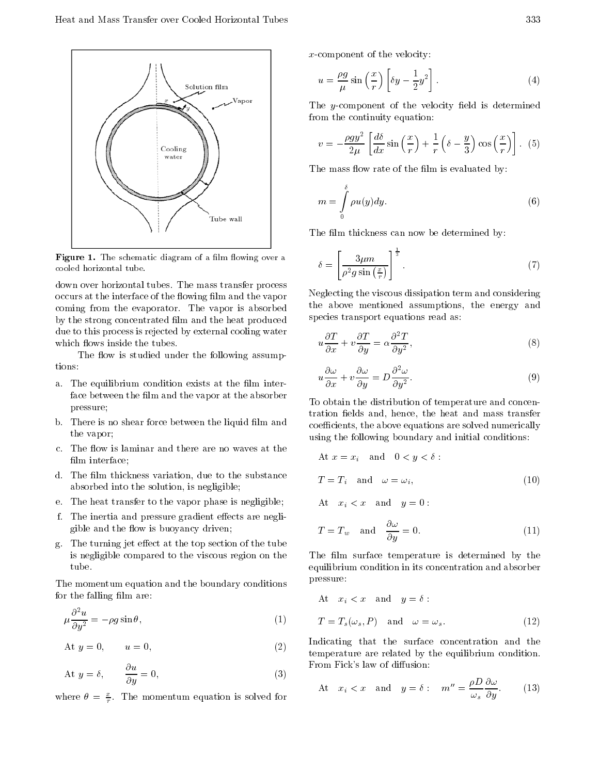

 $\blacksquare$  is the schematic diagram of a minimum over a cooled horizontal tube.

down over horizontal tubes. The mass transfer process occurs at the interface of the flowing film and the vapor coming from the evaporator. The vapor is absorbed by the strong concentrated film and the heat produced due to this process is rejected by external cooling water which flows inside the tubes.

The flow is studied under the following assumptions:

- a. The equilibrium condition exists at the film interface between the film and the vapor at the absorber pressure;
- b. There is no shear force between the liquid film and the vapor;
- c. The flow is laminar and there are no waves at the film interface;
- d. The film thickness variation, due to the substance absorbed into the solution, is negligible;
- e. The heat transfer to the vapor phase is negligible;
- f. The inertia and pressure gradient effects are negligible and the flow is buoyancy driven;
- g. The turning jet effect at the top section of the tube is negligible compared to the viscous region on the

The momentum equation and the boundary conditions for the falling film are:

$$
\mu \frac{\partial^2 u}{\partial y^2} = \rho g \sin \theta, \qquad (1)
$$

At 
$$
y = 0
$$
,  $u = 0$ , (2)

At 
$$
y = \delta
$$
,  $\frac{\partial u}{\partial y} = 0$ ,  $\qquad$  (3)

where  $\theta = \frac{2}{r}$ . The momentum equation is solved for

x-component of the velocity:

$$
u = \frac{\rho g}{\mu} \sin\left(\frac{x}{r}\right) \left[\delta y - \frac{1}{2}y^2\right].
$$
 (4)

The y-component of the velocity field is determined from the continuity equation:

$$
v = \frac{\rho g y^2}{2\mu} \left[ \frac{d\delta}{dx} \sin\left(\frac{x}{r}\right) + \frac{1}{r} \left(\delta - \frac{y}{3}\right) \cos\left(\frac{x}{r}\right) \right]. \tag{5}
$$

The mass flow rate of the film is evaluated by:

$$
m = \int_{0}^{\delta} \rho u(y) dy.
$$
 (6)

The film thickness can now be determined by:

$$
\delta = \left[\frac{3\mu m}{\rho^2 g \sin \frac{x}{r}}\right]^{\frac{1}{3}}.\tag{7}
$$

Neglecting the viscous dissipation term and considering the above mentioned assumptions, the energy and species transport equations read as:

$$
u\frac{\partial T}{\partial x} + v\frac{\partial T}{\partial y} = \alpha \frac{\partial^2 T}{\partial y^2},\tag{8}
$$

$$
u\frac{\partial \omega}{\partial x} + v\frac{\partial \omega}{\partial y} = D\frac{\partial^2 \omega}{\partial y^2}.
$$
 (9)

To obtain the distribution of temperature and concentration fields and, hence, the heat and mass transfer coefficients, the above equations are solved numerically using the following boundary and initial conditions:

At 
$$
x = x_i
$$
 and  $0 < y < \delta$ :  
\n
$$
T = T_i \text{ and } \omega = \omega_i,
$$
\n(10)

At  $x_i < x$  and  $y = 0$ :

$$
T = T_w \quad \text{and} \quad \frac{\partial \omega}{\partial y} = 0. \tag{11}
$$

The film surface temperature is determined by the equilibrium condition in its concentration and absorber pressure:

At 
$$
x_i < x
$$
 and  $y = \delta$ :  
\n
$$
T = T_s(\omega_s, P) \text{ and } \omega = \omega_s.
$$
\n(12)

Indicating that the surface concentration and the temperature are related by the equilibrium condition. From Fick's law of diffusion:

At 
$$
x_i < x
$$
 and  $y = \delta$ :  $m'' = \frac{\rho D}{\omega_s} \frac{\partial \omega}{\partial y}$ . (13)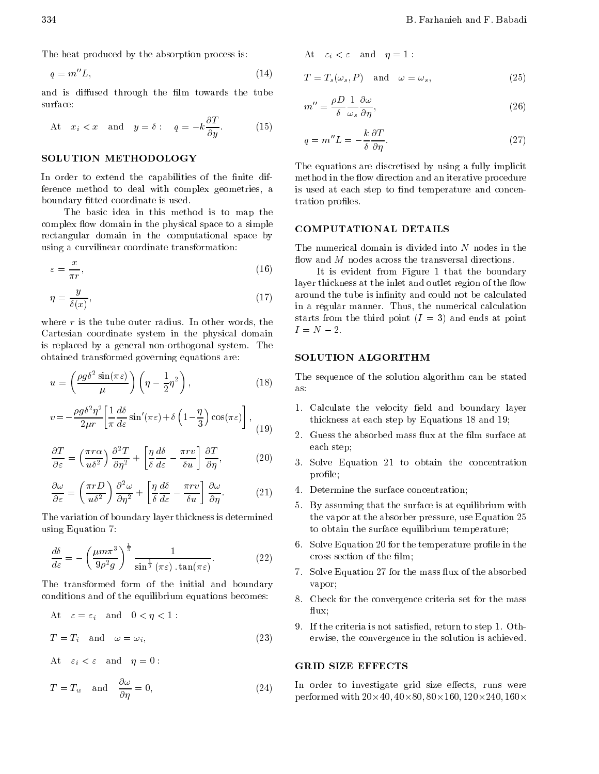The heat produced by the absorption process is:

$$
q = m''L,\t\t(14)
$$

and is diffused through the film towards the tube surface:

At 
$$
x_i < x
$$
 and  $y = \delta$ :  $q = k \frac{\partial T}{\partial y}$ . (15)

# SOLUTION METHODOLOGY

In order to extend the capabilities of the finite difference method to deal with complex geometries, <sup>a</sup> boundary fitted coordinate is used.

The basic idea in this method is to map the complex flow domain in the physical space to a simple COMPUTATIONAL DETAILS rectangular domain in the computational space by using a curvilinear coordinate transformation:

$$
\varepsilon = \frac{x}{\pi r},\tag{16}
$$

$$
\eta = \frac{y}{\delta(x)},\tag{17}
$$

where r is the tube outer radius. In other words, the starts from<br>Containing coordinate and in the physical demain  $I = N/2$ . Cartesian coordinate system in the physical domain is replaced by <sup>a</sup> general non-orthogonal system. The obtained transformed governing equations are:

$$
u = \left(\frac{\rho g \delta^2 \sin(\pi \varepsilon)}{\mu}\right) \left(\eta - \frac{1}{2}\eta^2\right),\tag{18}
$$

$$
v = \frac{\rho g \delta^2 \eta^2}{2\mu r} \left[ \frac{1}{\pi} \frac{d\delta}{d\varepsilon} \sin'(\pi\varepsilon) + \delta \left(1 - \frac{\eta}{3}\right) \cos(\pi\varepsilon) \right],
$$
 (19)

$$
\frac{\partial T}{\partial \varepsilon} = \left(\frac{\pi r \alpha}{u \delta^2}\right) \frac{\partial^2 T}{\partial \eta^2} + \left[\frac{\eta}{\delta} \frac{d\delta}{d\varepsilon} - \frac{\pi r v}{\delta u}\right] \frac{\partial T}{\partial \eta},\tag{20}
$$

$$
\frac{\partial \omega}{\partial \varepsilon} = \left(\frac{\pi r D}{u \delta^2}\right) \frac{\partial^2 \omega}{\partial \eta^2} + \left[\frac{\eta}{\delta} \frac{d\delta}{d\varepsilon} - \frac{\pi r v}{\delta u}\right] \frac{\partial \omega}{\partial \eta}.
$$
 (21)  $\frac{4}{5}$ 

The variation of boundary layer thickness is determined using Equation 7:

$$
\frac{d\delta}{d\varepsilon} = \left(\frac{\mu m \pi^3}{9\rho^2 g}\right)^{\frac{1}{3}} \frac{1}{\sin^{\frac{1}{3}}(\pi\varepsilon) \cdot \tan(\pi\varepsilon)}.
$$
\n(22)

The transformed form of the initial and boundary conditions and of the equilibrium equations becomes:

At 
$$
\varepsilon = \varepsilon_i
$$
 and  $0 < \eta < 1$ :  
\n
$$
T = T_i \text{ and } \omega = \omega_i,
$$
\n(23)

At  $\varepsilon_i < \varepsilon$  and  $\eta = 0$ :

$$
T = T_w \quad \text{and} \quad \frac{\partial \omega}{\partial \eta} = 0, \tag{24}
$$

At 
$$
\varepsilon_i < \varepsilon
$$
 and  $\eta = 1$ :

$$
T = T_s(\omega_s, P) \quad \text{and} \quad \omega = \omega_s,\tag{25}
$$

$$
m'' = \frac{\rho D}{\delta} \frac{1}{\omega_s} \frac{\partial \omega}{\partial \eta},\tag{26}
$$

$$
q = m''L = \frac{k}{\delta} \frac{\partial T}{\partial \eta}.
$$
 (27)

The equations are discretised by using a fully implicit method in the flow direction and an iterative procedure is used at each step to find temperature and concentration profiles.

The numerical domain is divided into  $N$  nodes in the flow and  $M$  nodes across the transversal directions.

It is evident from Figure <sup>1</sup> that the boundary layer thickness at the inlet and outlet region of the flow around the tube is infinity and could not be calculated in <sup>a</sup> regular manner. Thus, the numerical calculation starts from the third point  $(I = 3)$  and ends at point

# **SOLUTION ALGORITHM**

The sequence of the solution algorithm can be stated

- 1. Calculate the velocity field and boundary layer thickness at each step by Equations 18 and 19;
- $\frac{1}{2}$  Cuess the absorbed mass flux at the film surface at each step;
- $(2)$   $(3)$ . Solve Equation 21 to obtain the concentration profile;
	- 4. Determine the surface concentration;
	- 5. By assuming that the surface is at equilibrium with the vapor at the absorber pressure, use Equation 25 to obtain the surface equilibrium temperature;
	- 6. Solve Equation 20 for the temperature profile in the cross section of the film;
	- 7. Solve Equation 27 for the mass flux of the absorbed vapor;
	- 8. Check for the convergence criteria set for the mass ux;
	- 9. If the criteria is not satised, return to step 1. Otherwise, the convergence in the solution is achieved.

### **GRID SIZE EFFECTS**

In order to investigate grid size effects, runs were performed with 20-40; <sup>40</sup>-80; <sup>80</sup>-160; <sup>120</sup>-240; <sup>160</sup>-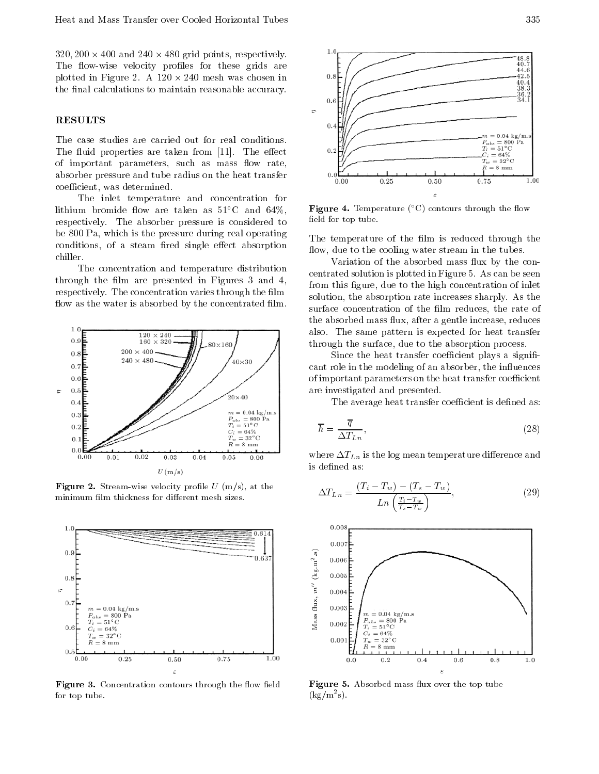320; 200 cm 200 and 240 cm 250 grid points; respectively. The flow-wise velocity profiles for these grids are plotted in Figure 2. A 120 - 240 mesh was chosen in the final calculations to maintain reasonable accuracy.

### **RESULTS**

The case studies are carried out for real conditions. The fluid properties are taken from [11]. The effect of important parameters, such as mass flow rate, absorber pressure and tube radius on the heat transfer coefficient, was determined.

The inlet temperature and concentration for lithium bromide flow are taken as  $51^{\circ}$ C and  $64\%$ , respectively. The absorber pressure is considered to be 800 Pa, which is the pressure during real operating conditions, of a steam fired single effect absorption chiller.

The concentration and temperature distribution through the film are presented in Figures 3 and 4, respectively. The concentration varies through the film flow as the water is absorbed by the concentrated film.



Figure 2. Stream-wise velocity prole <sup>U</sup> (m/s), at the minimum film thickness for different mesh sizes.



**Figure 3.** Concentration contours through the how held **F** for top tube.



**Figure 4.** Lemperature (  $\cup$  ) contours through the now field for top tube.

The temperature of the film is reduced through the flow, due to the cooling water stream in the tubes.

Variation of the absorbed mass flux by the concentrated solution is plotted in Figure 5. As can be seen from this figure, due to the high concentration of inlet solution, the absorption rate increases sharply. As the surface concentration of the film reduces, the rate of the absorbed mass flux, after a gentle increase, reduces also. The same pattern is expected for heat transfer through the surface, due to the absorption process.

Since the heat transfer coefficient plays a significant role in the modeling of an absorber, the influences of important parameters on the heat transfer coefficient are investigated and presented.

The average heat transfer coefficient is defined as:

$$
\overline{h} = \frac{\overline{q}}{\Delta T_{Ln}},\tag{28}
$$

where  $\Delta T_{Ln}$  is the log mean temperature difference and is defined as:

$$
\Delta T_{Ln} = \frac{(T_i - T_w) - (T_s - T_w)}{Ln\left(\frac{T_i - T_w}{T_s - T_w}\right)},\tag{29}
$$



**figure 5.** Absorbed mass figures that the top tube  $(Kg/m-s)$ .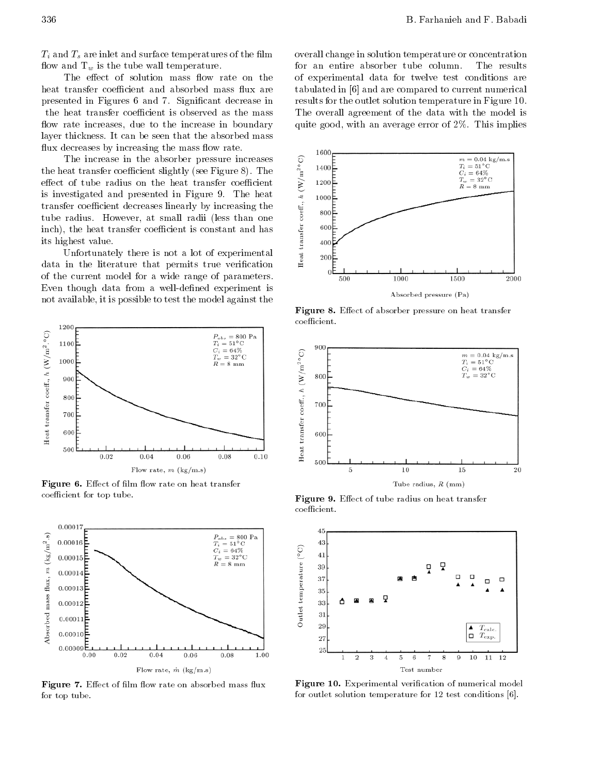$T_i$  and  $T_s$  are inlet and surface temperatures of the film flow and  $T_w$  is the tube wall temperature.

The effect of solution mass flow rate on the heat transfer coefficient and absorbed mass flux are presented in Figures <sup>6</sup> and 7. Signicant decrease in the heat transfer coefficient is observed as the mass flow rate increases, due to the increase in boundary layer thickness. It can be seen that the absorbed mass flux decreases by increasing the mass flow rate.

The increase in the absorber pressure increases<br>eat transfer coefficient slightly (see Figure 8). The<br>of tube radius on the heat transfer coefficient<br>vestigated and presented in Figure 9. The heat the heat transfer coefficient slightly (see Figure 8). The effect of tube radius on the heat transfer coefficient is investigated and presented in Figure 9. The heat transfer coefficient decreases linearly by increasing the<br>tube radius. However, at small radii (less than one<br>inch), the heat transfer coefficient is constant and has<br>its highest value.<br>Unfortunately there is not a lot of tube radius. However, at small radii (less than one inch), the heat transfer coefficient is constant and has its highest value.

Unfortunately there is not <sup>a</sup> lot of experimental data in the literature that permits true verification of the current model for <sup>a</sup> wide range of parameters. Even though data from a well-defined experiment is not available, it is possible to test the model against the



s ignited to the contract the contract of the contract of the second contract of the contract of the contract o coefficient for top tube.



**Figure**  $\boldsymbol{\cdot}$ . Ellect of  $\boldsymbol{\cdot}$  min how rate on absorbed mass nux **r** for top tube.

overall change in solution temperature or concentration for an entire absorber tube column. The results of experimental data for twelve test conditions are tabulated in [6] and are compared to current numerical results for the outlet solution temperature in Figure 10. The overall agreement of the data with the model is quite good, with an average error of 2%. This implies



Figure 8. Eect of absorber pressure on heat transfer coefficient.



Figure 9. Eect of tube radius on heat transfer coefficient.



Figure 10. Experimental verication of numerical model for outlet solution temperature for 12 test conditions [6].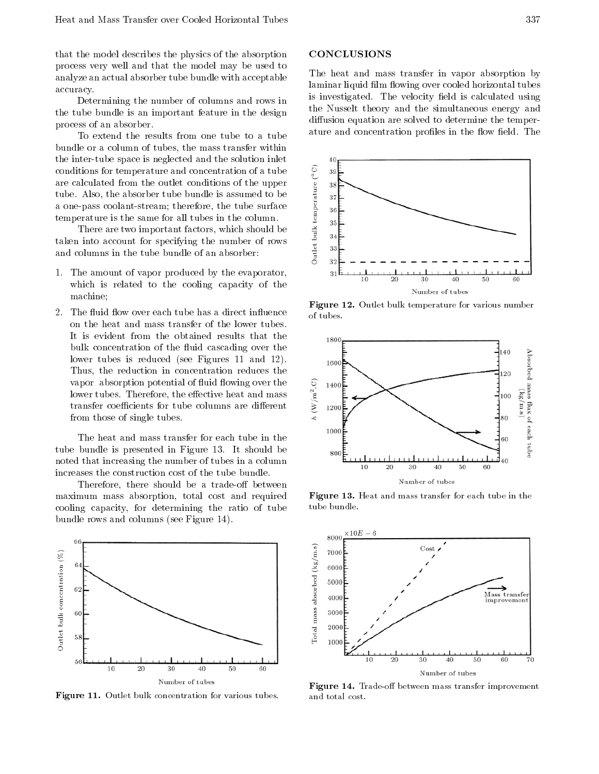that the model describes the physics of the absorption process very well and that the model may be used to analyze an actual absorber tube bundle with acceptable accuracy.

Determining the number of columns and rows in the tube bundle is an important feature in the design process of an absorber.

To extend the results from one tube to <sup>a</sup> tube bundle or a column of tubes, the mass transfer within the inter-tube space is neglected and the solution inlet conditions for temperature and concentration of a tube<br>are calculated from the outlet conditions of the upper<br>tube. Also, the absorber tube bundle is assumed to be<br>a one-pass coolant-stream; therefore, the tube surface<br>te are calculated from the outlet conditions of the upper tube. Also, the absorber tube bundle is assumed to be <sup>a</sup> one-pass coolant-stream; therefore, the tube surface temperature is the same for all tubes in the column.

There are two important factors, which should be taken into account for specifying the number of rows and columns in the tube bundle of an absorber:

- 1. The amount of vapor produced by the evaporator, which is related to the cooling capacity of the machine;
- 2. The fluid flow over each tube has a direct influence on the heat and mass transfer of the lower tubes. It is evident from the obtained results that the bulk concentration of the fluid cascading over the lower tubes is reduced (see Figures <sup>11</sup> and 12). Thus, the reduction in concentration reduces the vapor absorption potential of fluid flowing over the<br>
lower tubes. Therefore, the effective heat and mass<br>
transfer coefficients for tube columns are different<br>
from those of single tubes lower tubes. Therefore, the effective heat and mass transfer coefficients for tube columns are different from those of single tubes.

The heat and mass transfer for each tube in the tube bundle is presented in Figure 13. It should be noted that increasing the number of tubes in a column increases the construction cost of the tube bundle.

Therefore, there should be a trade-off between maximum mass absorption, total cost and required cooling capacity, for determining the ratio of tube bundle rows and columns (see Figure 14).



Figure 11. Outlet bulk concentration for various tubes.

#### CONCLUSIONS

The heat and mass transfer in vapor absorption by laminar liquid film flowing over cooled horizontal tubes is investigated. The velocity field is calculated using the Nusselt theory and the simultaneous energy and diffusion equation are solved to determine the temperature and concentration profiles in the flow field. The



Figure 12. Outlet bulk temperature for various number of tubes.



Figure 13. Heat and mass transfer for each tube in the tube bundle.



Figure 14. Trade-o between mass transfer improvement and total cost.